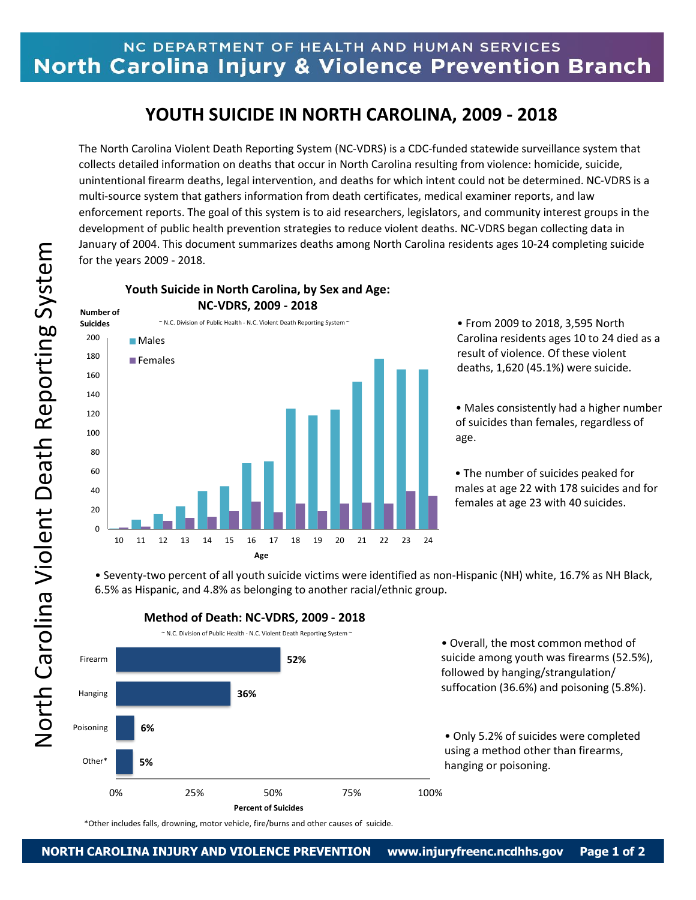## NC DEPARTMENT OF HEALTH AND HUMAN SERVICES North Carolina Injury & Violence Prevention Branch

## **YOUTH SUICIDE IN NORTH CAROLINA, 2009 - 2018**

The North Carolina Violent Death Reporting System (NC-VDRS) is a CDC-funded statewide surveillance system that collects detailed information on deaths that occur in North Carolina resulting from violence: homicide, suicide, unintentional firearm deaths, legal intervention, and deaths for which intent could not be determined. NC-VDRS is a multi-source system that gathers information from death certificates, medical examiner reports, and law enforcement reports. The goal of this system is to aid researchers, legislators, and community interest groups in the development of public health prevention strategies to reduce violent deaths. NC-VDRS began collecting data in January of 2004. This document summarizes deaths among North Carolina residents ages 10-24 completing suicide for the years 2009 - 2018.

**Youth Suicide in North Carolina, by Sex and Age: NC-VDRS, 2009 - 2018**

 $\Omega$ 20 40 60 80 100 120 140 160 180 200 10 11 12 13 14 15 16 17 18 19 20 21 22 23 24 **Suicides Age Males Females**  $\sim$  N.C. Division of Public Health - N.C. Violent Death Reporting System  $\sim$ 

• From 2009 to 2018, 3,595 North Carolina residents ages 10 to 24 died as a result of violence. Of these violent deaths, 1,620 (45.1%) were suicide.

• Males consistently had a higher number of suicides than females, regardless of age.

• The number of suicides peaked for males at age 22 with 178 suicides and for females at age 23 with 40 suicides.

• Seventy-two percent of all youth suicide victims were identified as non-Hispanic (NH) white, 16.7% as NH Black, 6.5% as Hispanic, and 4.8% as belonging to another racial/ethnic group.



\*Other includes falls, drowning, motor vehicle, fire/burns and other causes of suicide.

**Number of**